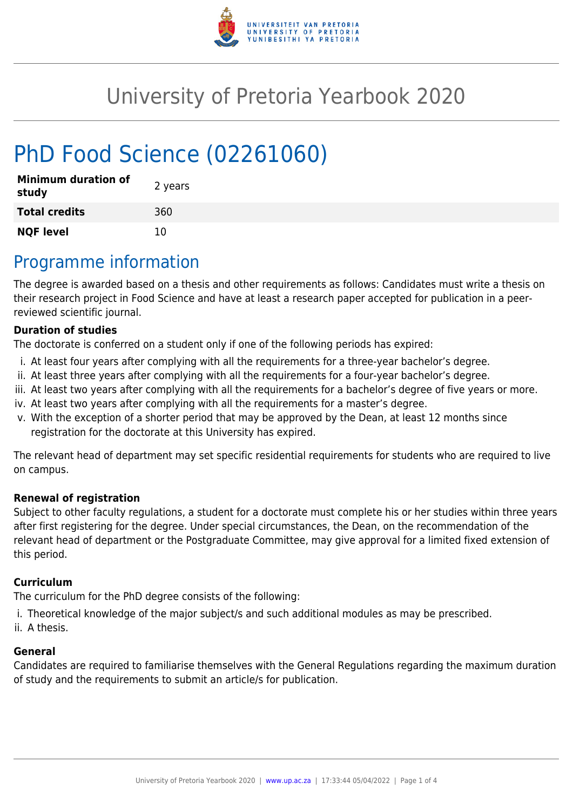

# University of Pretoria Yearbook 2020

# PhD Food Science (02261060)

| <b>Minimum duration of</b><br>study | 2 years |
|-------------------------------------|---------|
| <b>Total credits</b>                | 360     |
| <b>NQF level</b>                    | 10      |

## Programme information

The degree is awarded based on a thesis and other requirements as follows: Candidates must write a thesis on their research project in Food Science and have at least a research paper accepted for publication in a peerreviewed scientific journal.

#### **Duration of studies**

The doctorate is conferred on a student only if one of the following periods has expired:

- i. At least four years after complying with all the requirements for a three-year bachelor's degree.
- ii. At least three years after complying with all the requirements for a four-year bachelor's degree.
- iii. At least two years after complying with all the requirements for a bachelor's degree of five years or more.
- iv. At least two years after complying with all the requirements for a master's degree.
- v. With the exception of a shorter period that may be approved by the Dean, at least 12 months since registration for the doctorate at this University has expired.

The relevant head of department may set specific residential requirements for students who are required to live on campus.

#### **Renewal of registration**

Subject to other faculty regulations, a student for a doctorate must complete his or her studies within three years after first registering for the degree. Under special circumstances, the Dean, on the recommendation of the relevant head of department or the Postgraduate Committee, may give approval for a limited fixed extension of this period.

#### **Curriculum**

The curriculum for the PhD degree consists of the following:

- i. Theoretical knowledge of the major subject/s and such additional modules as may be prescribed.
- ii. A thesis.

#### **General**

Candidates are required to familiarise themselves with the General Regulations regarding the maximum duration of study and the requirements to submit an article/s for publication.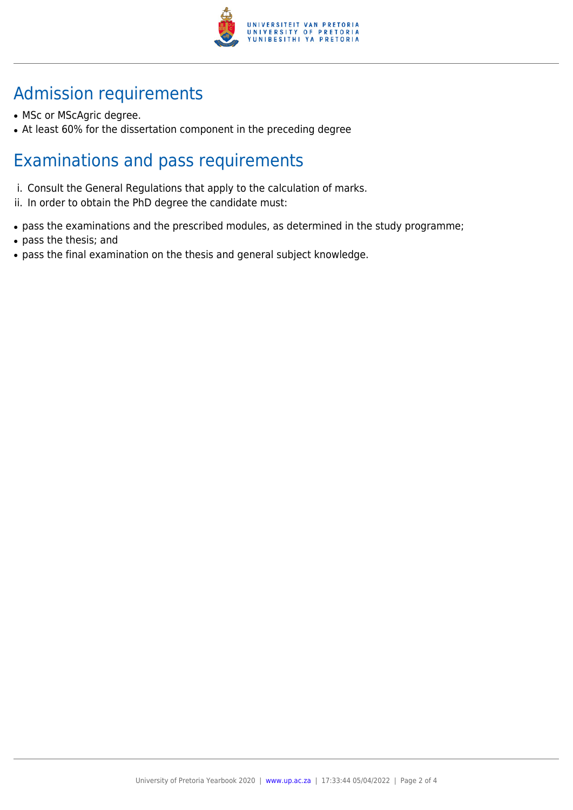

## Admission requirements

- MSc or MScAgric degree.
- At least 60% for the dissertation component in the preceding degree

## Examinations and pass requirements

- i. Consult the General Regulations that apply to the calculation of marks.
- ii. In order to obtain the PhD degree the candidate must:
- pass the examinations and the prescribed modules, as determined in the study programme;
- pass the thesis; and
- pass the final examination on the thesis and general subject knowledge.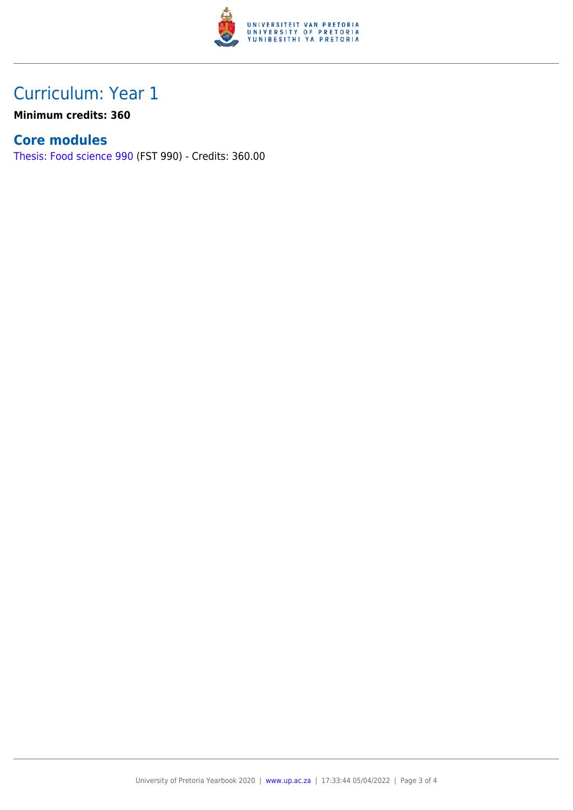

### Curriculum: Year 1

**Minimum credits: 360**

### **Core modules**

[Thesis: Food science 990](https://www.up.ac.za/yearbooks/2020/modules/view/FST 990) (FST 990) - Credits: 360.00